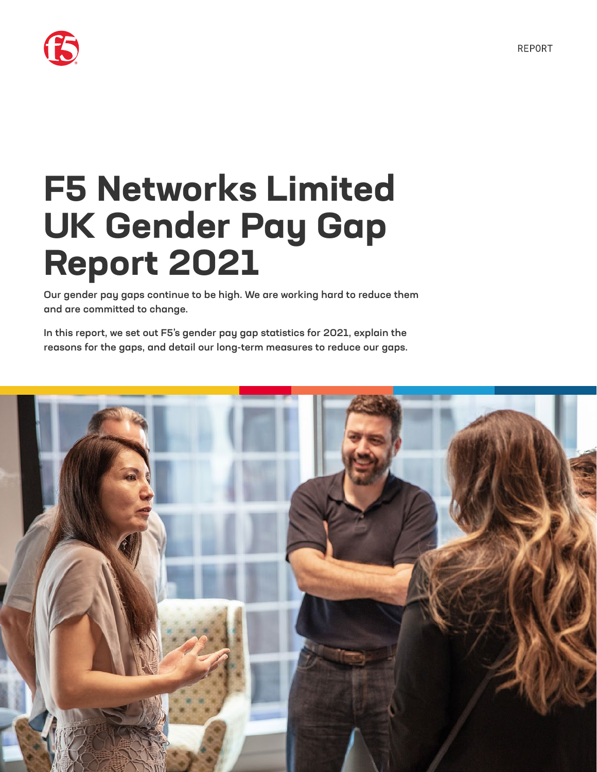

# **F5 Networks Limited UK Gender Pay Gap Report 2021**

Our gender pay gaps continue to be high. We are working hard to reduce them and are committed to change.

In this report, we set out F5's gender pay gap statistics for 2021, explain the reasons for the gaps, and detail our long-term measures to reduce our gaps.

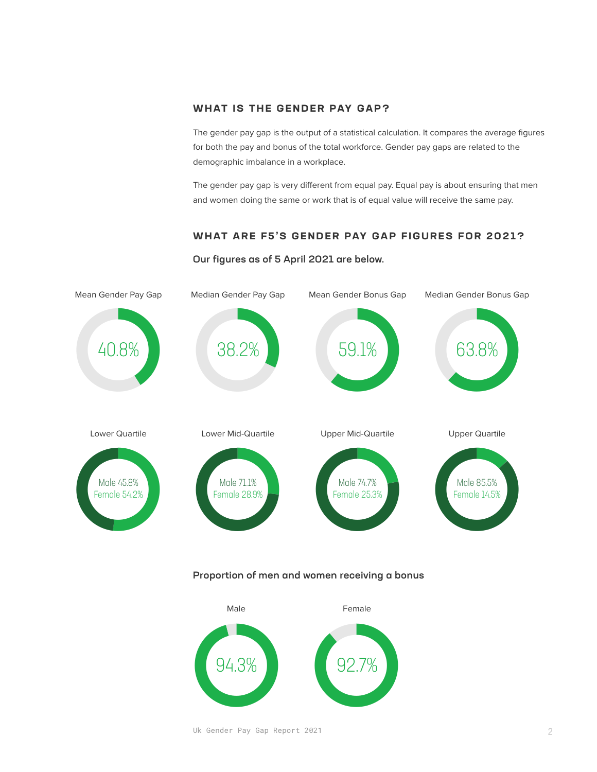# **WHAT IS THE GENDER PAY GAP?**

The gender pay gap is the output of a statistical calculation. It compares the average figures for both the pay and bonus of the total workforce. Gender pay gaps are related to the demographic imbalance in a workplace.

The gender pay gap is very different from equal pay. Equal pay is about ensuring that men and women doing the same or work that is of equal value will receive the same pay.

# **WHAT ARE F5'S GENDER PAY GAP FIGURES FOR 2021?**

# Our figures as of 5 April 2021 are below.



### Proportion of men and women receiving a bonus



Uk Gender Pay Gap Report 2021 2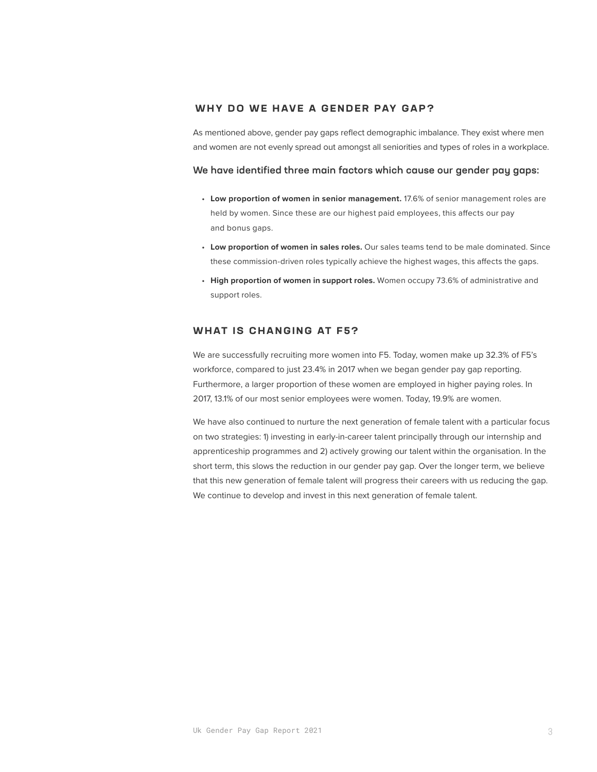# **WHY DO WE HAVE A GENDER PAY GAP?**

As mentioned above, gender pay gaps reflect demographic imbalance. They exist where men and women are not evenly spread out amongst all seniorities and types of roles in a workplace.

#### We have identified three main factors which cause our gender pay gaps:

- **Low proportion of women in senior management.** 17.6% of senior management roles are held by women. Since these are our highest paid employees, this affects our pay and bonus gaps.
- **Low proportion of women in sales roles.** Our sales teams tend to be male dominated. Since these commission-driven roles typically achieve the highest wages, this affects the gaps.
- **High proportion of women in support roles.** Women occupy 73.6% of administrative and support roles.

# **WHAT IS CHANGING AT F5?**

We are successfully recruiting more women into F5. Today, women make up 32.3% of F5's workforce, compared to just 23.4% in 2017 when we began gender pay gap reporting. Furthermore, a larger proportion of these women are employed in higher paying roles. In 2017, 13.1% of our most senior employees were women. Today, 19.9% are women.

We have also continued to nurture the next generation of female talent with a particular focus on two strategies: 1) investing in early-in-career talent principally through our internship and apprenticeship programmes and 2) actively growing our talent within the organisation. In the short term, this slows the reduction in our gender pay gap. Over the longer term, we believe that this new generation of female talent will progress their careers with us reducing the gap. We continue to develop and invest in this next generation of female talent.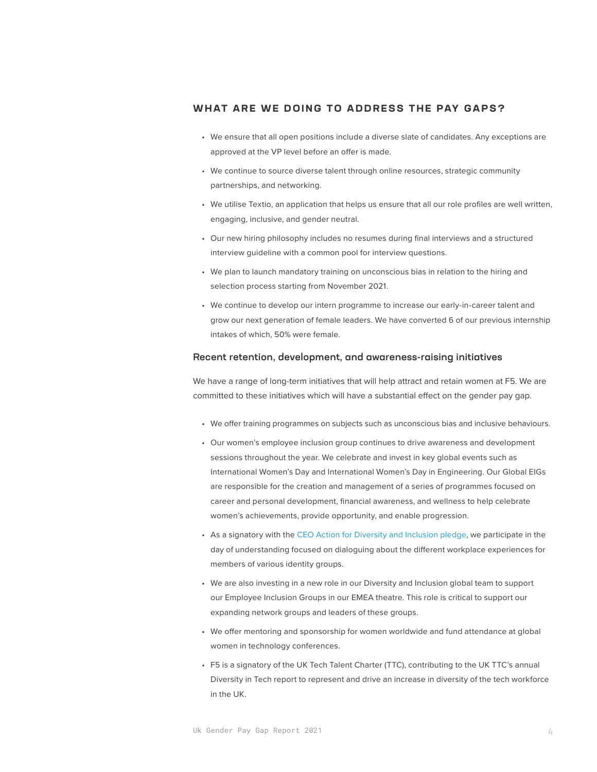# **WHAT ARE WE DOING TO ADDRESS THE PAY GAPS?**

- We ensure that all open positions include a diverse slate of candidates. Any exceptions are approved at the VP level before an offer is made.
- We continue to source diverse talent through online resources, strategic community partnerships, and networking.
- We utilise Textio, an application that helps us ensure that all our role profiles are well written, engaging, inclusive, and gender neutral.
- Our new hiring philosophy includes no resumes during final interviews and a structured interview guideline with a common pool for interview questions.
- We plan to launch mandatory training on unconscious bias in relation to the hiring and selection process starting from November 2021.
- We continue to develop our intern programme to increase our early-in-career talent and grow our next generation of female leaders. We have converted 6 of our previous internship intakes of which, 50% were female.

#### Recent retention, development, and awareness-raising initiatives

We have a range of long-term initiatives that will help attract and retain women at F5. We are committed to these initiatives which will have a substantial effect on the gender pay gap.

- We offer training programmes on subjects such as unconscious bias and inclusive behaviours.
- Our women's employee inclusion group continues to drive awareness and development sessions throughout the year. We celebrate and invest in key global events such as International Women's Day and International Women's Day in Engineering. Our Global EIGs are responsible for the creation and management of a series of programmes focused on career and personal development, financial awareness, and wellness to help celebrate women's achievements, provide opportunity, and enable progression.
- As a signatory with the [CEO Action for Diversity and Inclusion pledge](https://www.ceoaction.com), we participate in the day of understanding focused on dialoguing about the different workplace experiences for members of various identity groups.
- We are also investing in a new role in our Diversity and Inclusion global team to support our Employee Inclusion Groups in our EMEA theatre. This role is critical to support our expanding network groups and leaders of these groups.
- We offer mentoring and sponsorship for women worldwide and fund attendance at global women in technology conferences.
- F5 is a signatory of the UK Tech Talent Charter (TTC), contributing to the UK TTC's annual Diversity in Tech report to represent and drive an increase in diversity of the tech workforce in the UK.